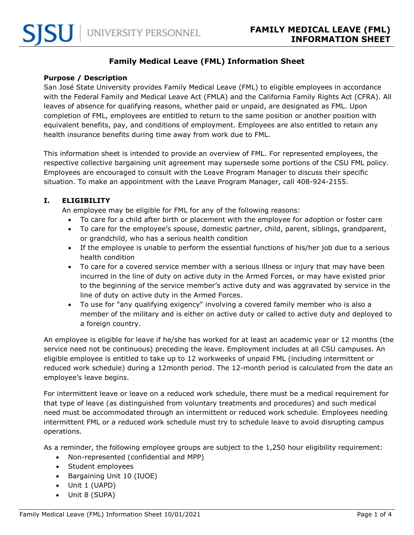# **Family Medical Leave (FML) Information Sheet**

### **Purpose / Description**

San José State University provides Family Medical Leave (FML) to eligible employees in accordance with the Federal Family and Medical Leave Act (FMLA) and the California Family Rights Act (CFRA). All leaves of absence for qualifying reasons, whether paid or unpaid, are designated as FML. Upon completion of FML, employees are entitled to return to the same position or another position with equivalent benefits, pay, and conditions of employment. Employees are also entitled to retain any health insurance benefits during time away from work due to FML.

This information sheet is intended to provide an overview of FML. For represented employees, the respective collective bargaining unit agreement may supersede some portions of the CSU FML policy. Employees are encouraged to consult with the Leave Program Manager to discuss their specific situation. To make an appointment with the Leave Program Manager, call 408-924-2155.

# **I. ELIGIBILITY**

An employee may be eligible for FML for any of the following reasons:

- To care for a child after birth or placement with the employee for adoption or foster care
- To care for the employee's spouse, domestic partner, child, parent, siblings, grandparent, or grandchild, who has a serious health condition
- If the employee is unable to perform the essential functions of his/her job due to a serious health condition
- To care for a covered service member with a serious illness or injury that may have been incurred in the line of duty on active duty in the Armed Forces, or may have existed prior to the beginning of the service member's active duty and was aggravated by service in the line of duty on active duty in the Armed Forces.
- To use for "any qualifying exigency" involving a covered family member who is also a member of the military and is either on active duty or called to active duty and deployed to a foreign country.

An employee is eligible for leave if he/she has worked for at least an academic year or 12 months (the service need not be continuous) preceding the leave. Employment includes at all CSU campuses. An eligible employee is entitled to take up to 12 workweeks of unpaid FML (including intermittent or reduced work schedule) during a 12month period. The 12-month period is calculated from the date an employee's leave begins.

For intermittent leave or leave on a reduced work schedule, there must be a medical requirement for that type of leave (as distinguished from voluntary treatments and procedures) and such medical need must be accommodated through an intermittent or reduced work schedule. Employees needing intermittent FML or a reduced work schedule must try to schedule leave to avoid disrupting campus operations.

As a reminder, the following employee groups are subject to the 1,250 hour eligibility requirement:

- Non-represented (confidential and MPP)
- Student employees
- Bargaining Unit 10 (IUOE)
- Unit 1 (UAPD)
- Unit 8 (SUPA)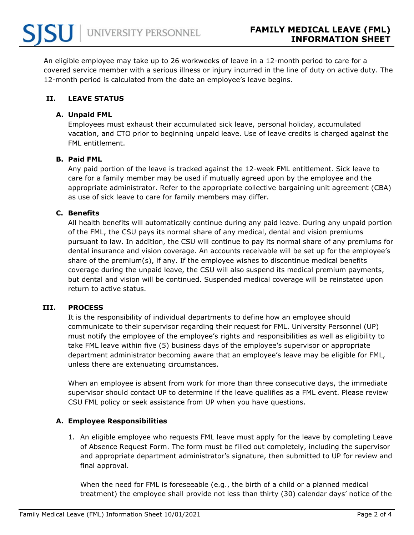An eligible employee may take up to 26 workweeks of leave in a 12-month period to care for a covered service member with a serious illness or injury incurred in the line of duty on active duty. The 12-month period is calculated from the date an employee's leave begins.

# **II. LEAVE STATUS**

#### **A. Unpaid FML**

Employees must exhaust their accumulated sick leave, personal holiday, accumulated vacation, and CTO prior to beginning unpaid leave. Use of leave credits is charged against the FML entitlement.

## **B. Paid FML**

Any paid portion of the leave is tracked against the 12-week FML entitlement. Sick leave to care for a family member may be used if mutually agreed upon by the employee and the appropriate administrator. Refer to the appropriate collective bargaining unit agreement (CBA) as use of sick leave to care for family members may differ.

## **C. Benefits**

All health benefits will automatically continue during any paid leave. During any unpaid portion of the FML, the CSU pays its normal share of any medical, dental and vision premiums pursuant to law. In addition, the CSU will continue to pay its normal share of any premiums for dental insurance and vision coverage. An accounts receivable will be set up for the employee's share of the premium(s), if any. If the employee wishes to discontinue medical benefits coverage during the unpaid leave, the CSU will also suspend its medical premium payments, but dental and vision will be continued. Suspended medical coverage will be reinstated upon return to active status.

#### **III. PROCESS**

It is the responsibility of individual departments to define how an employee should communicate to their supervisor regarding their request for FML. University Personnel (UP) must notify the employee of the employee's rights and responsibilities as well as eligibility to take FML leave within five (5) business days of the employee's supervisor or appropriate department administrator becoming aware that an employee's leave may be eligible for FML, unless there are extenuating circumstances.

When an employee is absent from work for more than three consecutive days, the immediate supervisor should contact UP to determine if the leave qualifies as a FML event. Please review CSU FML policy or seek assistance from UP when you have questions.

# **A. Employee Responsibilities**

1. An eligible employee who requests FML leave must apply for the leave by completing Leave of Absence Request Form. The form must be filled out completely, including the supervisor and appropriate department administrator's signature, then submitted to UP for review and final approval.

When the need for FML is foreseeable (e.g., the birth of a child or a planned medical treatment) the employee shall provide not less than thirty (30) calendar days' notice of the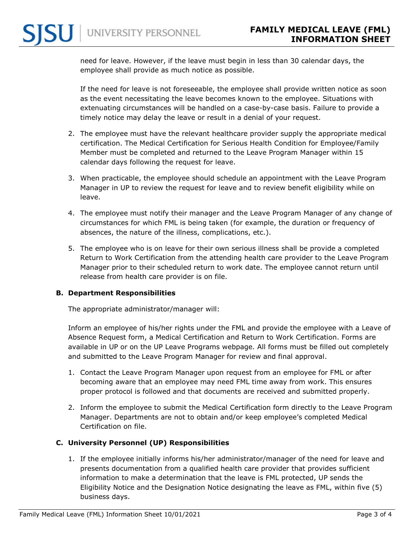UNIVERSITY PERSONNEL

need for leave. However, if the leave must begin in less than 30 calendar days, the employee shall provide as much notice as possible.

If the need for leave is not foreseeable, the employee shall provide written notice as soon as the event necessitating the leave becomes known to the employee. Situations with extenuating circumstances will be handled on a case-by-case basis. Failure to provide a timely notice may delay the leave or result in a denial of your request.

- 2. The employee must have the relevant healthcare provider supply the appropriate medical certification. The Medical Certification for Serious Health Condition for Employee/Family Member must be completed and returned to the Leave Program Manager within 15 calendar days following the request for leave.
- 3. When practicable, the employee should schedule an appointment with the Leave Program Manager in UP to review the request for leave and to review benefit eligibility while on leave.
- 4. The employee must notify their manager and the Leave Program Manager of any change of circumstances for which FML is being taken (for example, the duration or frequency of absences, the nature of the illness, complications, etc.).
- 5. The employee who is on leave for their own serious illness shall be provide a completed Return to Work Certification from the attending health care provider to the Leave Program Manager prior to their scheduled return to work date. The employee cannot return until release from health care provider is on file.

#### **B. Department Responsibilities**

The appropriate administrator/manager will:

Inform an employee of his/her rights under the FML and provide the employee with a Leave of Absence Request form, a Medical Certification and Return to Work Certification. Forms are available in UP or on the UP Leave Programs webpage. All forms must be filled out completely and submitted to the Leave Program Manager for review and final approval.

- 1. Contact the Leave Program Manager upon request from an employee for FML or after becoming aware that an employee may need FML time away from work. This ensures proper protocol is followed and that documents are received and submitted properly.
- 2. Inform the employee to submit the Medical Certification form directly to the Leave Program Manager. Departments are not to obtain and/or keep employee's completed Medical Certification on file.

# **C. University Personnel (UP) Responsibilities**

1. If the employee initially informs his/her administrator/manager of the need for leave and presents documentation from a qualified health care provider that provides sufficient information to make a determination that the leave is FML protected, UP sends the Eligibility Notice and the Designation Notice designating the leave as FML, within five (5) business days.